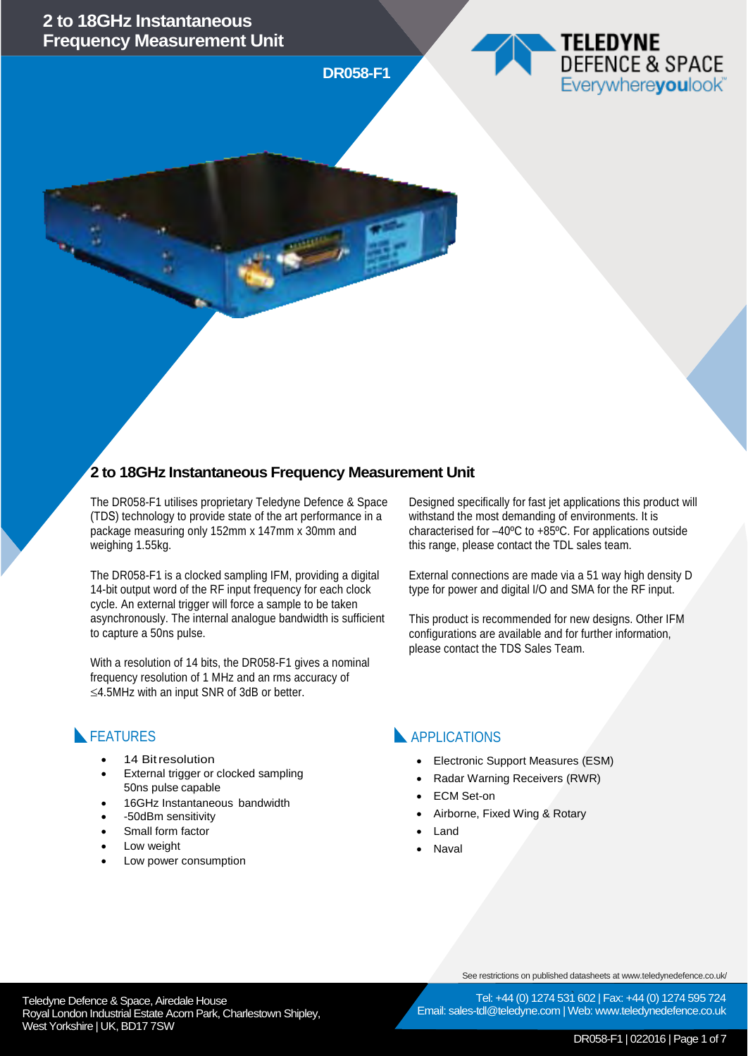**DR058-F1**



#### **2 to 18GHz Instantaneous Frequency Measurement Unit**

The DR058-F1 utilises proprietary Teledyne Defence & Space (TDS) technology to provide state of the art performance in a package measuring only 152mm x 147mm x 30mm and weighing 1.55kg.

The DR058-F1 is a clocked sampling IFM, providing a digital 14-bit output word of the RF input frequency for each clock cycle. An external trigger will force a sample to be taken asynchronously. The internal analogue bandwidth is sufficient to capture a 50ns pulse.

With a resolution of 14 bits, the DR058-F1 gives a nominal frequency resolution of 1 MHz and an rms accuracy of ≤4.5MHz with an input SNR of 3dB or better.

#### **FEATURES**

- 14 Bit resolution
- External trigger or clocked sampling 50ns pulse capable
- 16GHz Instantaneous bandwidth
- -50dBm sensitivity
- Small form factor
- Low weight
- Low power consumption

Designed specifically for fast jet applications this product will withstand the most demanding of environments. It is characterised for –40ºC to +85ºC. For applications outside this range, please contact the TDL sales team.

External connections are made via a 51 way high density D type for power and digital I/O and SMA for the RF input.

This product is recommended for new designs. Other IFM configurations are available and for further information, please contact the TDS Sales Team.

#### **APPLICATIONS**

- Electronic Support Measures (ESM)
- Radar Warning Receivers (RWR)
- **ECM Set-on**
- Airborne, Fixed Wing & Rotary
- **Land**
- **Naval**

See restrictions on published datasheets at www.teledynedefence.co.uk/

Email: sales-tdl@teledyne.com | Web: www.teledynedefence.co.uk

Tel: +44 (0) 1274 531 602 | Fax: +44 (0) 1274 595 724

Teledyne Defence & Space, Airedale House and the state of the telectricity of the Tel: +44 (0) 1274 531 Royal London Industrial Estate Acorn Park, Charlestown Shipley, West Yorkshire | UK, BD17 7SW

DR058-F1 | 022016 | Page 1 of 7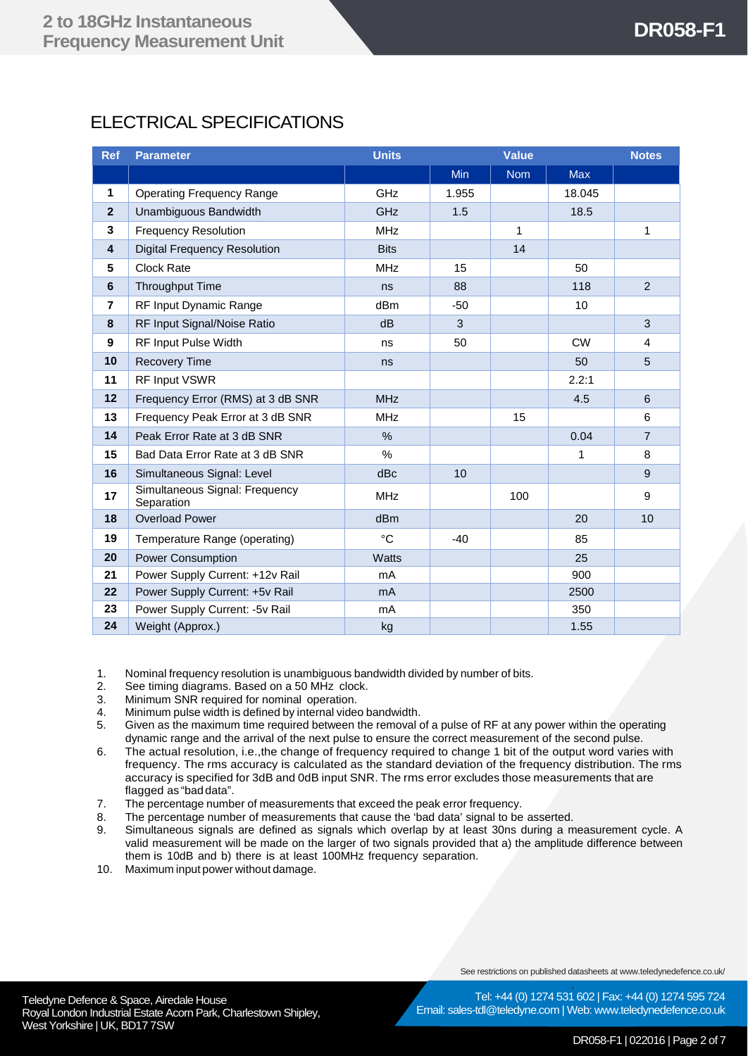# ELECTRICAL SPECIFICATIONS

| <b>Ref</b>              | <b>Parameter</b>                             | <b>Units</b> | <b>Value</b> |              | <b>Notes</b> |                |
|-------------------------|----------------------------------------------|--------------|--------------|--------------|--------------|----------------|
|                         |                                              |              | <b>Min</b>   | <b>Nom</b>   | <b>Max</b>   |                |
| $\mathbf{1}$            | <b>Operating Frequency Range</b>             | GHz          | 1.955        |              | 18.045       |                |
| $\mathbf{2}$            | Unambiguous Bandwidth                        | <b>GHz</b>   | 1.5          |              | 18.5         |                |
| 3                       | <b>Frequency Resolution</b>                  | <b>MHz</b>   |              | $\mathbf{1}$ |              | 1              |
| $\overline{\mathbf{4}}$ | <b>Digital Frequency Resolution</b>          | <b>Bits</b>  |              | 14           |              |                |
| $5\phantom{.0}$         | <b>Clock Rate</b>                            | <b>MHz</b>   | 15           |              | 50           |                |
| 6                       | <b>Throughput Time</b>                       | ns           | 88           |              | 118          | $\overline{2}$ |
| $\overline{7}$          | RF Input Dynamic Range                       | dBm          | $-50$        |              | 10           |                |
| 8                       | RF Input Signal/Noise Ratio                  | dB           | 3            |              |              | 3              |
| 9                       | RF Input Pulse Width                         | ns           | 50           |              | <b>CW</b>    | 4              |
| 10                      | <b>Recovery Time</b>                         | ns           |              |              | 50           | 5              |
| 11                      | RF Input VSWR                                |              |              |              | 2.2:1        |                |
| 12                      | Frequency Error (RMS) at 3 dB SNR            | <b>MHz</b>   |              |              | 4.5          | 6              |
| 13                      | Frequency Peak Error at 3 dB SNR             | <b>MHz</b>   |              | 15           |              | 6              |
| 14                      | Peak Error Rate at 3 dB SNR                  | $\%$         |              |              | 0.04         | $\overline{7}$ |
| 15                      | Bad Data Error Rate at 3 dB SNR              | %            |              |              | 1            | 8              |
| 16                      | Simultaneous Signal: Level                   | dBc          | 10           |              |              | 9              |
| 17                      | Simultaneous Signal: Frequency<br>Separation | <b>MHz</b>   |              | 100          |              | 9              |
| 18                      | <b>Overload Power</b>                        | dBm          |              |              | 20           | 10             |
| 19                      | Temperature Range (operating)                | $^{\circ}C$  | $-40$        |              | 85           |                |
| 20                      | <b>Power Consumption</b>                     | <b>Watts</b> |              |              | 25           |                |
| 21                      | Power Supply Current: +12v Rail              | mA           |              |              | 900          |                |
| 22                      | Power Supply Current: +5v Rail               | mA           |              |              | 2500         |                |
| 23                      | Power Supply Current: -5v Rail               | mA           |              |              | 350          |                |
| 24                      | Weight (Approx.)                             | kg           |              |              | 1.55         |                |

1. Nominal frequency resolution is unambiguous bandwidth divided by number of bits.<br>2. See timing diagrams. Based on a 50 MHz clock.

- 2. See timing diagrams. Based on a 50 MHz clock.<br>3. Minimum SNR required for nominal operation.
- 3. Minimum SNR required for nominal operation.<br>4. Minimum pulse width is defined by internal vide
- 4. Minimum pulse width is defined by internal video bandwidth.<br>5. Given as the maximum time required between the removal
- Given as the maximum time required between the removal of a pulse of RF at any power within the operating dynamic range and the arrival of the next pulse to ensure the correct measurement of the second pulse.
- 6. The actual resolution, i.e.,the change of frequency required to change 1 bit of the output word varies with frequency. The rms accuracy is calculated as the standard deviation of the frequency distribution. The rms accuracy is specified for 3dB and 0dB input SNR. The rms error excludes those measurements that are flagged as "bad data".
- 7. The percentage number of measurements that exceed the peak error frequency.<br>8. The percentage number of measurements that cause the 'bad data' signal to be
- 8. The percentage number of measurements that cause the 'bad data' signal to be asserted.<br>9. Simultaneous signals are defined as signals which overlap by at least 30ns during a m
- Simultaneous signals are defined as signals which overlap by at least 30ns during a measurement cycle. A valid measurement will be made on the larger of two signals provided that a) the amplitude difference between them is 10dB and b) there is at least 100MHz frequency separation.
- 10. Maximum input power without damage.

See restrictions on published datasheets at www.teledynedefence.co.uk/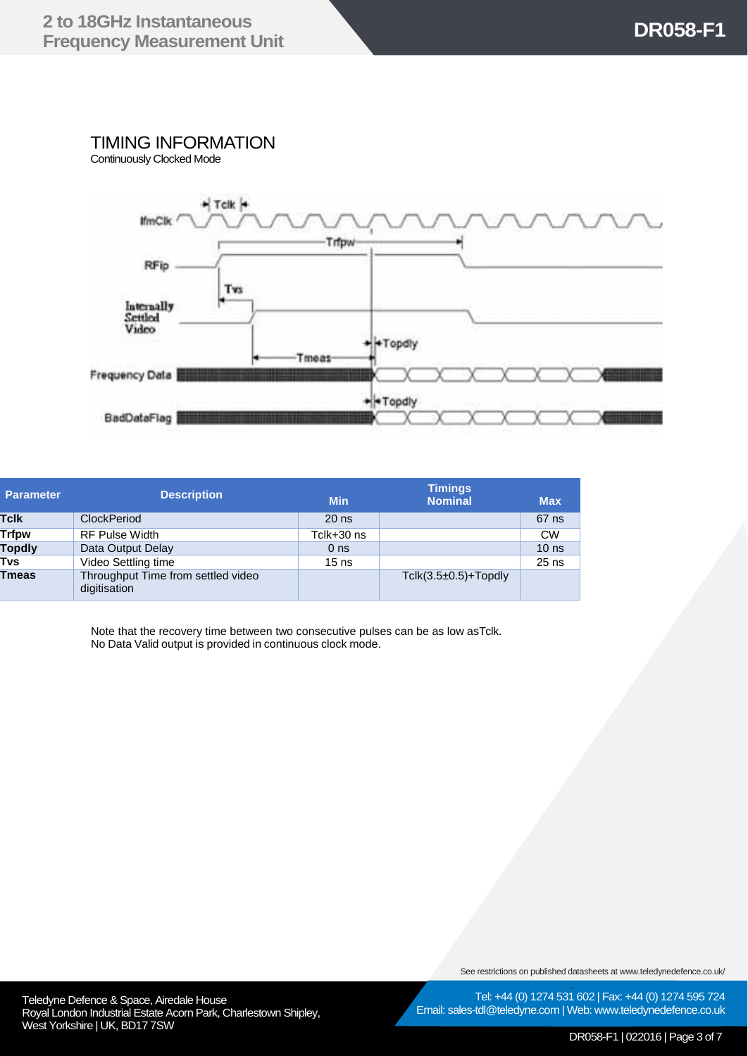### TIMING INFORMATION

Continuously Clocked Mode



| <b>Parameter</b> | <b>Description</b>                                 | <b>Min</b>      | <b>Timings</b><br><b>Nominal</b> | <b>Max</b>       |
|------------------|----------------------------------------------------|-----------------|----------------------------------|------------------|
| <b>Tclk</b>      | ClockPeriod                                        | $20$ ns         |                                  | 67 ns            |
| <b>Trfpw</b>     | <b>RF Pulse Width</b>                              | Tclk+30 ns      |                                  | <b>CW</b>        |
| <b>Topdly</b>    | Data Output Delay                                  | 0 <sub>ns</sub> |                                  | 10 <sub>ns</sub> |
| Tvs              | Video Settling time                                | $15$ ns         |                                  | $25$ ns          |
| <b>Tmeas</b>     | Throughput Time from settled video<br>digitisation |                 | $T$ clk $(3.5\pm0.5)$ +Topdly    |                  |

Note that the recovery time between two consecutive pulses can be as low asTclk. No Data Valid output is provided in continuous clock mode.

See restrictions on published datasheets at www.teledynedefence.co.uk/

Teledyne Defence & Space, Airedale House and the contract of the Contract of Tel: +44 (0) 1274 531 Royal London Industrial Estate Acorn Park, Charlestown Shipley, West Yorkshire | UK, BD17 7SW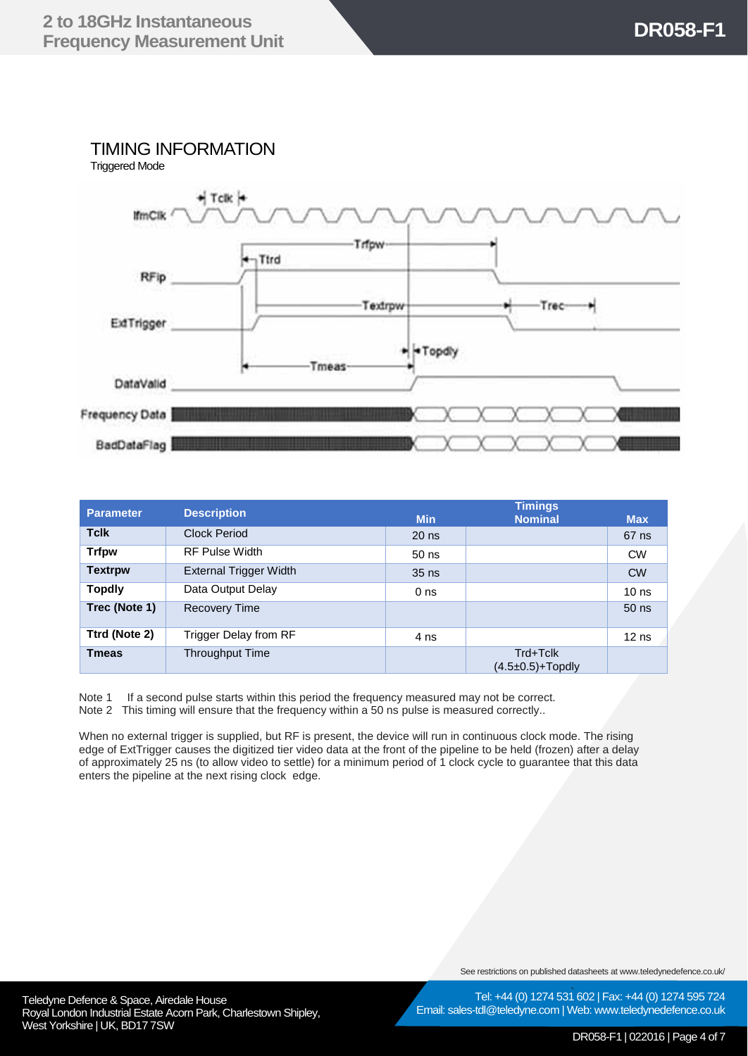## TIMING INFORMATION



| <b>Parameter</b> | <b>Description</b>     | <b>Timings</b>  |                                             |                  |  |
|------------------|------------------------|-----------------|---------------------------------------------|------------------|--|
|                  |                        | <b>Min</b>      | <b>Nominal</b>                              | <b>Max</b>       |  |
| <b>Tclk</b>      | <b>Clock Period</b>    | $20$ ns         |                                             | $67$ ns          |  |
| <b>Trfpw</b>     | <b>RF Pulse Width</b>  | $50$ ns         |                                             | <b>CW</b>        |  |
| <b>Textrpw</b>   | External Trigger Width | $35$ ns         |                                             | <b>CW</b>        |  |
| <b>Topdly</b>    | Data Output Delay      | 0 <sub>ns</sub> |                                             | 10 <sub>ns</sub> |  |
| Trec (Note 1)    | <b>Recovery Time</b>   |                 |                                             | $50$ ns          |  |
| Ttrd (Note 2)    | Trigger Delay from RF  | 4 ns            |                                             | $12$ ns          |  |
| <b>T</b> meas    | Throughput Time        |                 | Trd+Tclk<br>$(4.5 \pm 0.5) + \text{Topdly}$ |                  |  |

Note 1 If a second pulse starts within this period the frequency measured may not be correct. Note 2 This timing will ensure that the frequency within a 50 ns pulse is measured correctly..

When no external trigger is supplied, but RF is present, the device will run in continuous clock mode. The rising edge of ExtTrigger causes the digitized tier video data at the front of the pipeline to be held (frozen) after a delay of approximately 25 ns (to allow video to settle) for a minimum period of 1 clock cycle to guarantee that this data enters the pipeline at the next rising clock edge.

See restrictions on published datasheets at www.teledynedefence.co.uk/

Teledyne Defence & Space, Airedale House and the contract of the Contract of Tel: +44 (0) 1274 531 Royal London Industrial Estate Acorn Park, Charlestown Shipley, West Yorkshire | UK, BD17 7SW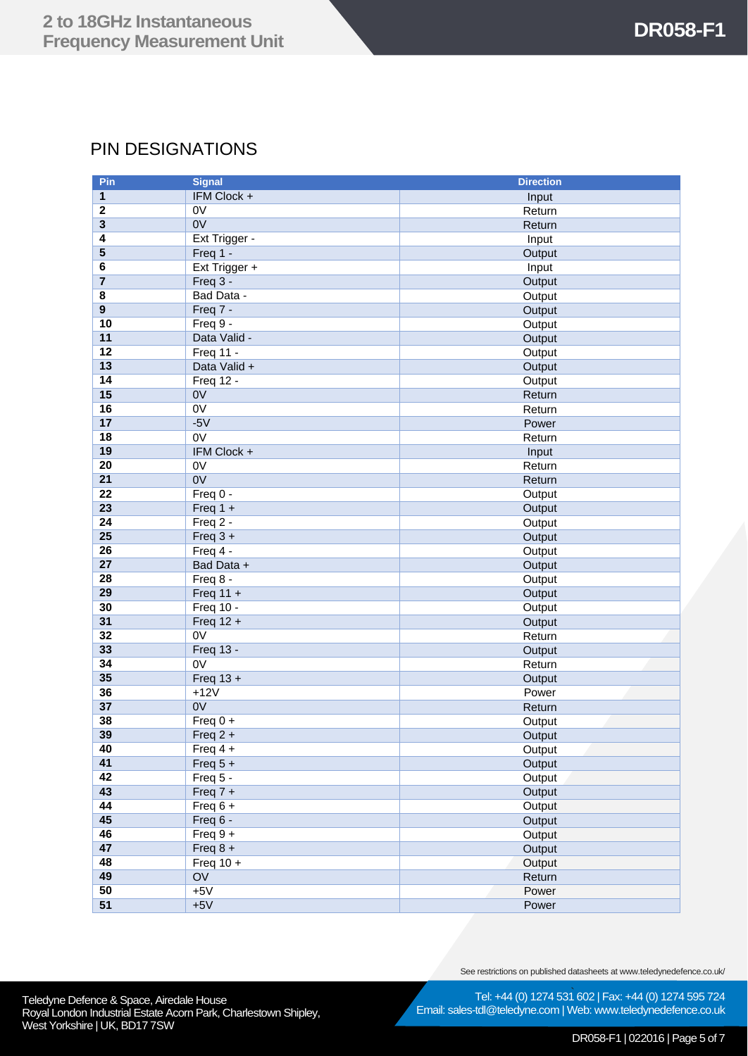## PIN DESIGNATIONS

| Pin                     | <b>Signal</b>    | <b>Direction</b> |
|-------------------------|------------------|------------------|
| 1                       | IFM Clock +      | Input            |
| $\boldsymbol{2}$        | 0V               | Return           |
| 3                       | 0V               | Return           |
| 4                       | Ext Trigger -    | Input            |
| 5                       | Freq 1 -         | Output           |
| 6                       | Ext Trigger +    | Input            |
| $\overline{7}$          | Freq 3 -         | Output           |
| 8                       | Bad Data -       | Output           |
| $\overline{\mathbf{9}}$ | Freq 7 -         | Output           |
| 10                      | Freq 9 -         | Output           |
| 11                      | Data Valid -     | Output           |
| 12                      | Freq 11 -        | Output           |
| 13                      | Data Valid +     | Output           |
| 14                      | Freq 12 -        | Output           |
| 15                      | 0V               | Return           |
| 16                      | $\overline{ov}$  | Return           |
| 17                      | $-5V$            | Power            |
| 18                      | 0V               | Return           |
| 19                      | IFM Clock +      | Input            |
| 20                      | 0V               | Return           |
| 21                      | 0V               | Return           |
| $\overline{22}$         | Freq 0 -         | Output           |
| 23                      | Freq $1 +$       | Output           |
| 24                      | Freq 2 -         | Output           |
| 25                      | Freq $3 +$       | Output           |
| 26                      | Freq 4 -         | Output           |
| 27                      | Bad Data +       | Output           |
| 28                      | Freq 8 -         | Output           |
| 29                      | Freq $11 +$      | Output           |
| 30                      | Freq 10 -        | Output           |
| 31                      | Freq $12 +$      | Output           |
| 32                      | 0V               | Return           |
| 33                      | <b>Freq 13 -</b> | Output           |
| 34                      | $\overline{ov}$  | Return           |
| 35                      | Freq $13 +$      | Output           |
| 36                      | $+12V$           | Power            |
| 37                      | 0V               | Return           |
| 38                      | Freq $0 +$       | Output           |
| 39                      | Freq $2 +$       | Output           |
| 40                      | Freq $4 +$       | Output           |
| 41                      | Freq $5 +$       | Output           |
| 42                      | Freq 5 -         | Output           |
| 43                      | Freq $7 +$       | Output           |
| 44                      | Freq $6 +$       | Output           |
| 45                      | Freq 6 -         | Output           |
| 46                      | Freq $9 +$       | Output           |
| 47                      | Freq $8 +$       | Output           |
| 48                      | Freq $10 +$      | Output           |
| 49                      | OV               | Return           |
| 50                      | $+5V$            | Power            |
| 51                      | $+5V$            | Power            |

See restrictions on published datasheets at www.teledynedefence.co.uk/

Teledyne Defence & Space, Airedale House and the contract of the Contract of Tel: +44 (0) 1274 531 Royal London Industrial Estate Acorn Park, Charlestown Shipley, West Yorkshire | UK, BD17 7SW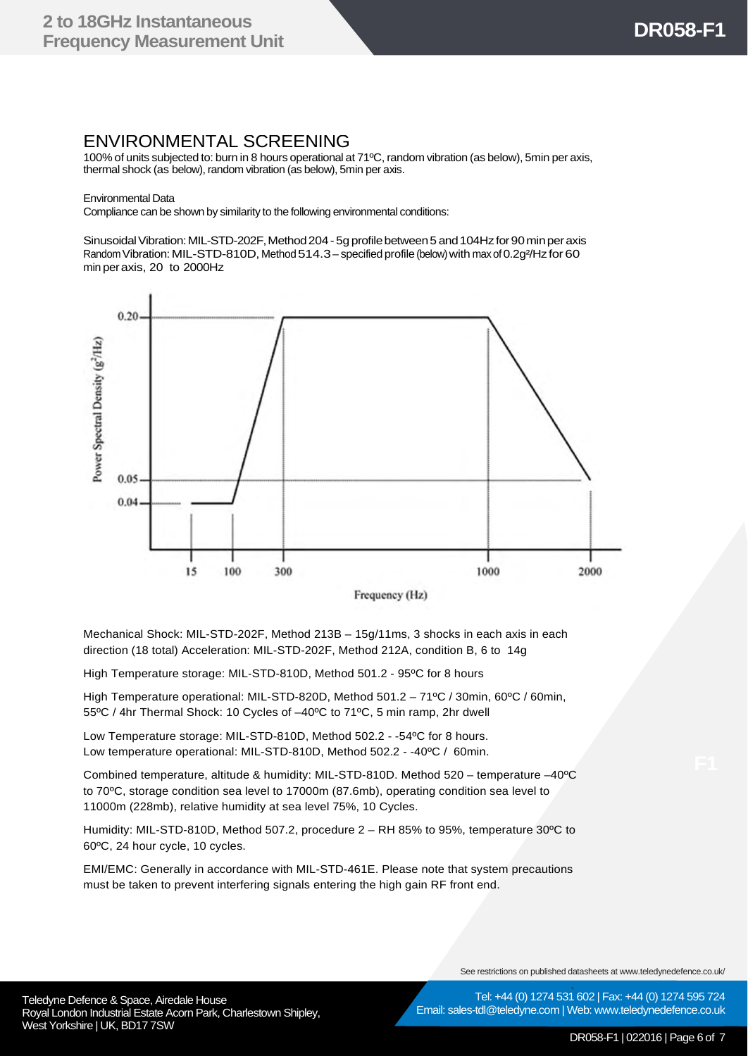#### ENVIRONMENTAL SCREENING

100% of units subjected to: burn in 8 hours operational at 71ºC, random vibration (as below), 5min per axis, thermal shock (as below), random vibration (as below), 5min per axis.

Environmental Data

Compliance can be shown by similarity to the following environmental conditions:

Sinusoidal Vibration: MIL-STD-202F, Method 204 - 5g profile between 5 and 104Hz for 90 min per axis Random Vibration: MIL-STD-810D, Method 514.3 - specified profile (below) with max of 0.2g<sup>2</sup>/Hz for 60 min peraxis, 20 to 2000Hz



Frequency (Hz)

Mechanical Shock: MIL-STD-202F, Method 213B – 15g/11ms, 3 shocks in each axis in each direction (18 total) Acceleration: MIL-STD-202F, Method 212A, condition B, 6 to 14g

High Temperature storage: MIL-STD-810D, Method 501.2 - 95ºC for 8 hours

High Temperature operational: MIL-STD-820D, Method 501.2 – 71ºC / 30min, 60ºC / 60min, 55ºC / 4hr Thermal Shock: 10 Cycles of –40ºC to 71ºC, 5 min ramp, 2hr dwell

Low Temperature storage: MIL-STD-810D, Method 502.2 - -54ºC for 8 hours. Low temperature operational: MIL-STD-810D, Method 502.2 - -40ºC / 60min.

Combined temperature, altitude & humidity: MIL-STD-810D. Method 520 – temperature –40<sup>o</sup>C to 70ºC, storage condition sea level to 17000m (87.6mb), operating condition sea level to 11000m (228mb), relative humidity at sea level 75%, 10 Cycles.

Humidity: MIL-STD-810D, Method 507.2, procedure 2 – RH 85% to 95%, temperature 30ºC to 60ºC, 24 hour cycle, 10 cycles.

EMI/EMC: Generally in accordance with MIL-STD-461E. Please note that system precautions must be taken to prevent interfering signals entering the high gain RF front end.

See restrictions on published datasheets at www.teledynedefence.co.uk/